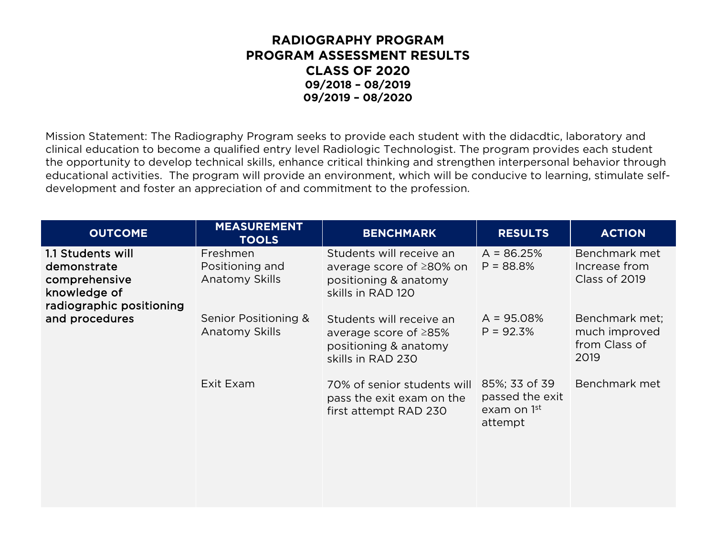Mission Statement: The Radiography Program seeks to provide each student with the didacdtic, laboratory and clinical education to become a qualified entry level Radiologic Technologist. The program provides each student the opportunity to develop technical skills, enhance critical thinking and strengthen interpersonal behavior through educational activities. The program will provide an environment, which will be conducive to learning, stimulate selfdevelopment and foster an appreciation of and commitment to the profession.

| <b>OUTCOME</b>                                                                                                  | <b>MEASUREMENT</b><br><b>TOOLS</b>            | <b>BENCHMARK</b>                                                                                      | <b>RESULTS</b>                                             | <b>ACTION</b>                                            |
|-----------------------------------------------------------------------------------------------------------------|-----------------------------------------------|-------------------------------------------------------------------------------------------------------|------------------------------------------------------------|----------------------------------------------------------|
| 1.1 Students will<br>demonstrate<br>comprehensive<br>knowledge of<br>radiographic positioning<br>and procedures | Freshmen<br>Positioning and<br>Anatomy Skills | Students will receive an<br>average score of ≥80% on<br>positioning & anatomy<br>skills in RAD 120    | $A = 86.25%$<br>$P = 88.8%$                                | Benchmark met<br>Increase from<br>Class of 2019          |
|                                                                                                                 | Senior Positioning &<br>Anatomy Skills        | Students will receive an<br>average score of $\geq$ 85%<br>positioning & anatomy<br>skills in RAD 230 | $A = 95.08%$<br>$P = 92.3%$                                | Benchmark met;<br>much improved<br>from Class of<br>2019 |
|                                                                                                                 | Exit Exam                                     | 70% of senior students will<br>pass the exit exam on the<br>first attempt RAD 230                     | 85%; 33 of 39<br>passed the exit<br>exam on 1st<br>attempt | Benchmark met                                            |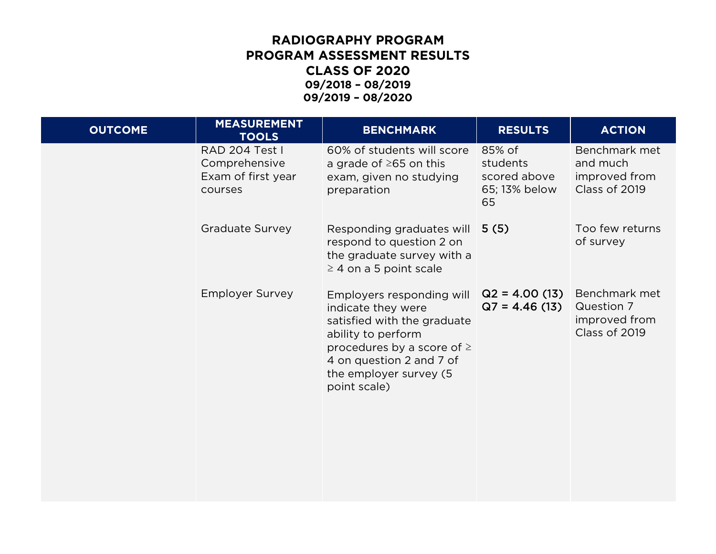| <b>OUTCOME</b> | <b>MEASUREMENT</b><br><b>TOOLS</b>                               | <b>BENCHMARK</b>                                                                                                                                                                                             | <b>RESULTS</b>                                            | <b>ACTION</b>                                                 |
|----------------|------------------------------------------------------------------|--------------------------------------------------------------------------------------------------------------------------------------------------------------------------------------------------------------|-----------------------------------------------------------|---------------------------------------------------------------|
|                | RAD 204 Test I<br>Comprehensive<br>Exam of first year<br>courses | 60% of students will score<br>a grade of $\geq$ 65 on this<br>exam, given no studying<br>preparation                                                                                                         | 85% of<br>students<br>scored above<br>65; 13% below<br>65 | Benchmark met<br>and much<br>improved from<br>Class of 2019   |
|                | <b>Graduate Survey</b>                                           | Responding graduates will<br>respond to question 2 on<br>the graduate survey with a<br>$\geq$ 4 on a 5 point scale                                                                                           | 5(5)                                                      | Too few returns<br>of survey                                  |
|                | <b>Employer Survey</b>                                           | Employers responding will<br>indicate they were<br>satisfied with the graduate<br>ability to perform<br>procedures by a score of $\ge$<br>4 on question 2 and 7 of<br>the employer survey (5<br>point scale) | $Q2 = 4.00(13)$<br>$Q7 = 4.46(13)$                        | Benchmark met<br>Question 7<br>improved from<br>Class of 2019 |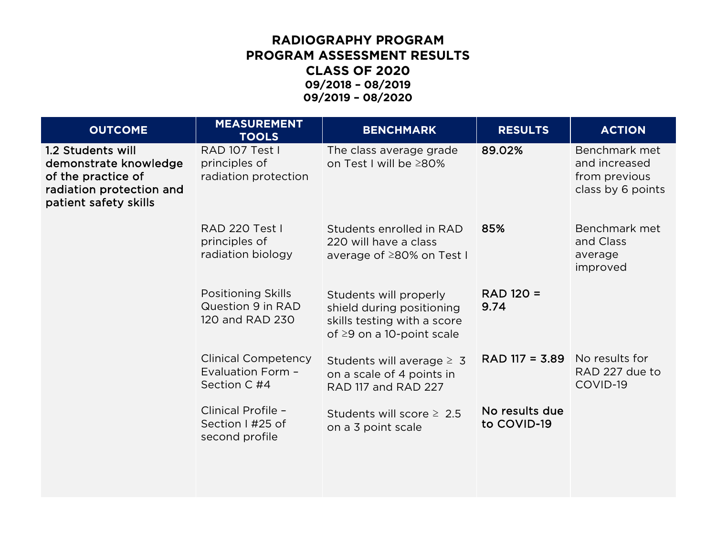| <b>OUTCOME</b>                                                                                                        | <b>MEASUREMENT</b><br><b>TOOLS</b>                                | <b>BENCHMARK</b>                                                                                                      | <b>RESULTS</b>                         | <b>ACTION</b>                                                        |
|-----------------------------------------------------------------------------------------------------------------------|-------------------------------------------------------------------|-----------------------------------------------------------------------------------------------------------------------|----------------------------------------|----------------------------------------------------------------------|
| 1.2 Students will<br>demonstrate knowledge<br>of the practice of<br>radiation protection and<br>patient safety skills | RAD 107 Test I<br>principles of<br>radiation protection           | The class average grade<br>on Test I will be ≥80%                                                                     | 89.02%                                 | Benchmark met<br>and increased<br>from previous<br>class by 6 points |
|                                                                                                                       | <b>RAD 220 Test I</b><br>principles of<br>radiation biology       | Students enrolled in RAD<br>220 will have a class<br>average of ≥80% on Test I                                        | 85%                                    | Benchmark met<br>and Class<br>average<br>improved                    |
|                                                                                                                       | <b>Positioning Skills</b><br>Question 9 in RAD<br>120 and RAD 230 | Students will properly<br>shield during positioning<br>skills testing with a score<br>of $\geq$ 9 on a 10-point scale | RAD 120 =<br>9.74                      |                                                                      |
|                                                                                                                       | <b>Clinical Competency</b><br>Evaluation Form -<br>Section C #4   | Students will average $\geq 3$<br>on a scale of 4 points in<br>RAD 117 and RAD 227                                    | $RAD$ 117 = 3.89 $\mid$ No results for | RAD 227 due to<br>COVID-19                                           |
|                                                                                                                       | Clinical Profile -<br>Section I #25 of<br>second profile          | Students will score $\geq 2.5$<br>on a 3 point scale                                                                  | No results due<br>to COVID-19          |                                                                      |
|                                                                                                                       |                                                                   |                                                                                                                       |                                        |                                                                      |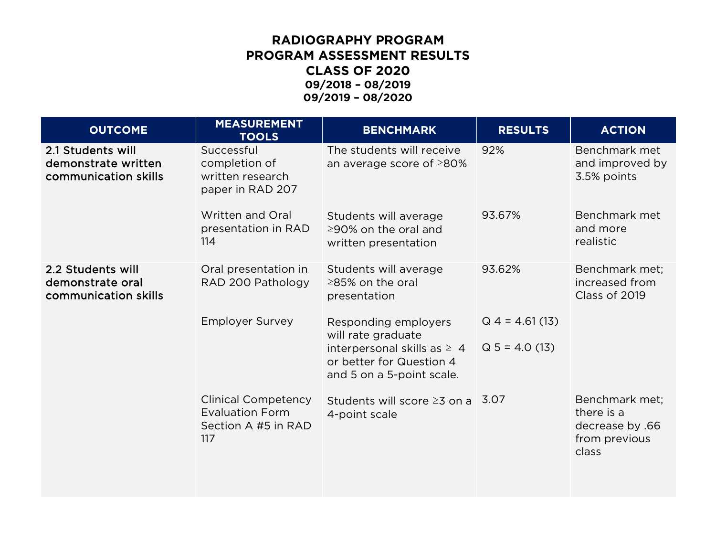| <b>OUTCOME</b>                                                   | <b>MEASUREMENT</b><br><b>TOOLS</b>                                                 | <b>BENCHMARK</b>                                                                          | <b>RESULTS</b>    | <b>ACTION</b>                                                             |
|------------------------------------------------------------------|------------------------------------------------------------------------------------|-------------------------------------------------------------------------------------------|-------------------|---------------------------------------------------------------------------|
| 2.1 Students will<br>demonstrate written<br>communication skills | Successful<br>completion of<br>written research<br>paper in RAD 207                | The students will receive<br>an average score of $\geq$ 80%                               | 92%               | Benchmark met<br>and improved by<br>3.5% points                           |
|                                                                  | Written and Oral<br>presentation in RAD<br>114                                     | Students will average<br>$\geq$ 90% on the oral and<br>written presentation               | 93.67%            | Benchmark met<br>and more<br>realistic                                    |
| 2.2 Students will<br>demonstrate oral<br>communication skills    | Oral presentation in<br>RAD 200 Pathology                                          | Students will average<br>$\geq$ 85% on the oral<br>presentation                           | 93.62%            | Benchmark met;<br>increased from<br>Class of 2019                         |
|                                                                  | <b>Employer Survey</b>                                                             | Responding employers<br>will rate graduate                                                | $Q$ 4 = 4.61 (13) |                                                                           |
|                                                                  |                                                                                    | interpersonal skills as $\geq 4$<br>or better for Question 4<br>and 5 on a 5-point scale. | $Q 5 = 4.0(13)$   |                                                                           |
|                                                                  | <b>Clinical Competency</b><br><b>Evaluation Form</b><br>Section A #5 in RAD<br>117 | Students will score $\geq$ 3 on a 3.07<br>4-point scale                                   |                   | Benchmark met;<br>there is a<br>decrease by .66<br>from previous<br>class |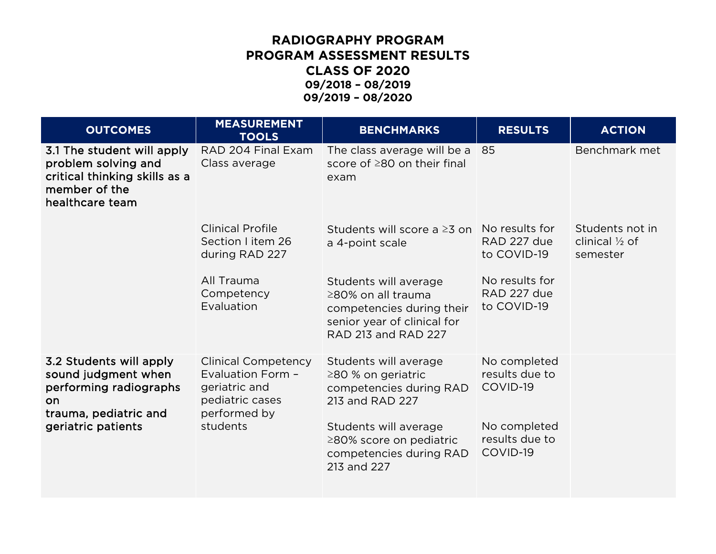| <b>OUTCOMES</b>                                                                                                                | <b>MEASUREMENT</b><br><b>TOOLS</b>                                                                  | <b>BENCHMARKS</b>                                                                                                              | <b>RESULTS</b>                               | <b>ACTION</b>                                            |
|--------------------------------------------------------------------------------------------------------------------------------|-----------------------------------------------------------------------------------------------------|--------------------------------------------------------------------------------------------------------------------------------|----------------------------------------------|----------------------------------------------------------|
| 3.1 The student will apply<br>problem solving and<br>critical thinking skills as a<br>member of the<br>healthcare team         | RAD 204 Final Exam<br>Class average                                                                 | The class average will be a 85<br>score of $\geq$ 80 on their final<br>exam                                                    |                                              | Benchmark met                                            |
|                                                                                                                                | <b>Clinical Profile</b><br>Section I item 26<br>during RAD 227                                      | Students will score a $\geq 3$ on<br>a 4-point scale                                                                           | No results for<br>RAD 227 due<br>to COVID-19 | Students not in<br>clinical $\frac{1}{2}$ of<br>semester |
|                                                                                                                                | All Trauma<br>Competency<br>Evaluation                                                              | Students will average<br>≥80% on all trauma<br>competencies during their<br>senior year of clinical for<br>RAD 213 and RAD 227 | No results for<br>RAD 227 due<br>to COVID-19 |                                                          |
| 3.2 Students will apply<br>sound judgment when<br>performing radiographs<br>on.<br>trauma, pediatric and<br>geriatric patients | <b>Clinical Competency</b><br>Evaluation Form -<br>geriatric and<br>pediatric cases<br>performed by | Students will average<br>$\geq$ 80 % on geriatric<br>competencies during RAD<br>213 and RAD 227                                | No completed<br>results due to<br>COVID-19   |                                                          |
|                                                                                                                                | students                                                                                            | Students will average<br>≥80% score on pediatric<br>competencies during RAD<br>213 and 227                                     | No completed<br>results due to<br>COVID-19   |                                                          |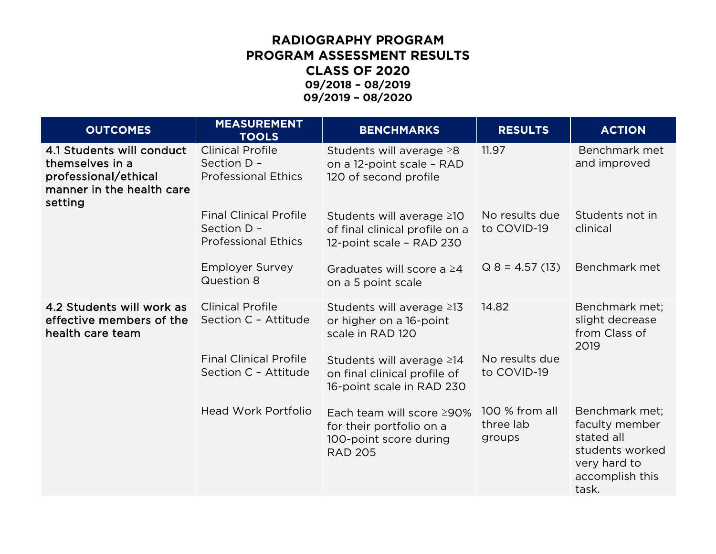| <b>OUTCOMES</b>                                                                                              | <b>MEASUREMENT</b><br><b>TOOLS</b>                                         | <b>BENCHMARKS</b>                                                                                 | <b>RESULTS</b>                        | <b>ACTION</b>                                                                                                 |
|--------------------------------------------------------------------------------------------------------------|----------------------------------------------------------------------------|---------------------------------------------------------------------------------------------------|---------------------------------------|---------------------------------------------------------------------------------------------------------------|
| 4.1 Students will conduct<br>themselves in a<br>professional/ethical<br>manner in the health care<br>setting | <b>Clinical Profile</b><br>Section D -<br><b>Professional Ethics</b>       | Students will average $\geq 8$<br>on a 12-point scale - RAD<br>120 of second profile              | 11.97                                 | Benchmark met<br>and improved                                                                                 |
|                                                                                                              | <b>Final Clinical Profile</b><br>Section D -<br><b>Professional Ethics</b> | Students will average ≥10<br>of final clinical profile on a<br>12-point scale - RAD 230           | No results due<br>to COVID-19         | Students not in<br>clinical                                                                                   |
|                                                                                                              | <b>Employer Survey</b><br>Question 8                                       | Graduates will score a $\geq 4$<br>on a 5 point scale                                             | $Q$ 8 = 4.57 (13)                     | Benchmark met                                                                                                 |
| 4.2 Students will work as<br>effective members of the<br>health care team                                    | <b>Clinical Profile</b><br>Section C - Attitude                            | Students will average ≥13<br>or higher on a 16-point<br>scale in RAD 120                          | 14.82                                 | Benchmark met;<br>slight decrease<br>from Class of<br>2019                                                    |
|                                                                                                              | <b>Final Clinical Profile</b><br>Section C - Attitude                      | Students will average ≥14<br>on final clinical profile of<br>16-point scale in RAD 230            | No results due<br>to COVID-19         |                                                                                                               |
|                                                                                                              | <b>Head Work Portfolio</b>                                                 | Each team will score ≥90%<br>for their portfolio on a<br>100-point score during<br><b>RAD 205</b> | 100 % from all<br>three lab<br>groups | Benchmark met;<br>faculty member<br>stated all<br>students worked<br>very hard to<br>accomplish this<br>task. |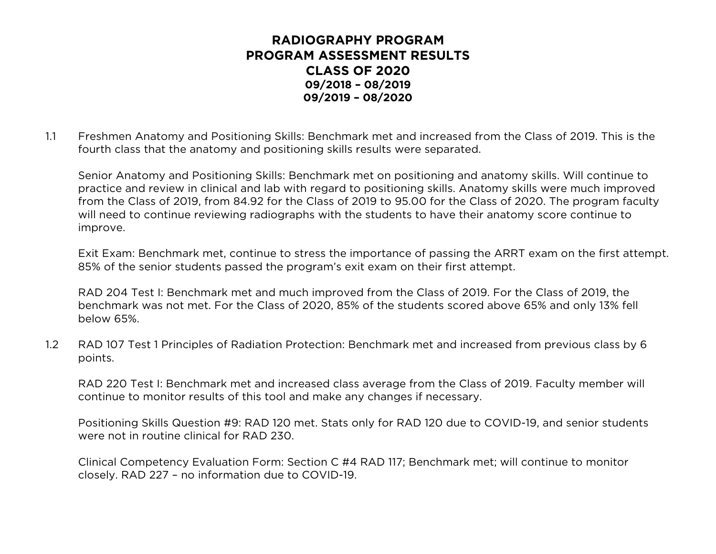1.1 Freshmen Anatomy and Positioning Skills: Benchmark met and increased from the Class of 2019. This is the fourth class that the anatomy and positioning skills results were separated.

Senior Anatomy and Positioning Skills: Benchmark met on positioning and anatomy skills. Will continue to practice and review in clinical and lab with regard to positioning skills. Anatomy skills were much improved from the Class of 2019, from 84.92 for the Class of 2019 to 95.00 for the Class of 2020. The program faculty will need to continue reviewing radiographs with the students to have their anatomy score continue to improve.

Exit Exam: Benchmark met, continue to stress the importance of passing the ARRT exam on the first attempt. 85% of the senior students passed the program's exit exam on their first attempt.

RAD 204 Test I: Benchmark met and much improved from the Class of 2019. For the Class of 2019, the benchmark was not met. For the Class of 2020, 85% of the students scored above 65% and only 13% fell below 65%.

1.2 RAD 107 Test 1 Principles of Radiation Protection: Benchmark met and increased from previous class by 6 points.

RAD 220 Test I: Benchmark met and increased class average from the Class of 2019. Faculty member will continue to monitor results of this tool and make any changes if necessary.

Positioning Skills Question #9: RAD 120 met. Stats only for RAD 120 due to COVID-19, and senior students were not in routine clinical for RAD 230.

Clinical Competency Evaluation Form: Section C #4 RAD 117; Benchmark met; will continue to monitor closely. RAD 227 – no information due to COVID-19.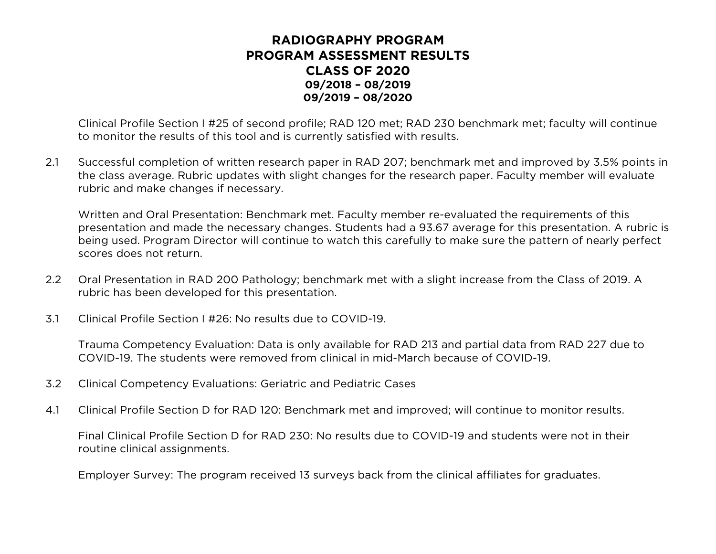Clinical Profile Section I #25 of second profile; RAD 120 met; RAD 230 benchmark met; faculty will continue to monitor the results of this tool and is currently satisfied with results.

2.1 Successful completion of written research paper in RAD 207; benchmark met and improved by 3.5% points in the class average. Rubric updates with slight changes for the research paper. Faculty member will evaluate rubric and make changes if necessary.

Written and Oral Presentation: Benchmark met. Faculty member re-evaluated the requirements of this presentation and made the necessary changes. Students had a 93.67 average for this presentation. A rubric is being used. Program Director will continue to watch this carefully to make sure the pattern of nearly perfect scores does not return.

- 2.2 Oral Presentation in RAD 200 Pathology; benchmark met with a slight increase from the Class of 2019. A rubric has been developed for this presentation.
- 3.1 Clinical Profile Section I #26: No results due to COVID-19.

Trauma Competency Evaluation: Data is only available for RAD 213 and partial data from RAD 227 due to COVID-19. The students were removed from clinical in mid-March because of COVID-19.

- 3.2 Clinical Competency Evaluations: Geriatric and Pediatric Cases
- 4.1 Clinical Profile Section D for RAD 120: Benchmark met and improved; will continue to monitor results.

Final Clinical Profile Section D for RAD 230: No results due to COVID-19 and students were not in their routine clinical assignments.

Employer Survey: The program received 13 surveys back from the clinical affiliates for graduates.